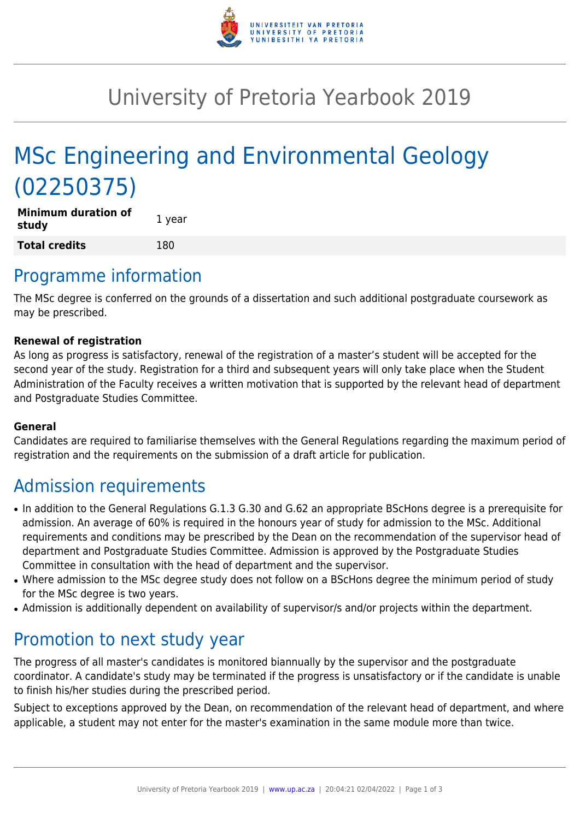

## University of Pretoria Yearbook 2019

# MSc Engineering and Environmental Geology (02250375)

| <b>Minimum duration of</b><br>study | 1 year |
|-------------------------------------|--------|
| <b>Total credits</b>                | 180    |

### Programme information

The MSc degree is conferred on the grounds of a dissertation and such additional postgraduate coursework as may be prescribed.

#### **Renewal of registration**

As long as progress is satisfactory, renewal of the registration of a master's student will be accepted for the second year of the study. Registration for a third and subsequent years will only take place when the Student Administration of the Faculty receives a written motivation that is supported by the relevant head of department and Postgraduate Studies Committee.

#### **General**

Candidates are required to familiarise themselves with the General Regulations regarding the maximum period of registration and the requirements on the submission of a draft article for publication.

### Admission requirements

- In addition to the General Regulations G.1.3 G.30 and G.62 an appropriate BScHons degree is a prerequisite for admission. An average of 60% is required in the honours year of study for admission to the MSc. Additional requirements and conditions may be prescribed by the Dean on the recommendation of the supervisor head of department and Postgraduate Studies Committee. Admission is approved by the Postgraduate Studies Committee in consultation with the head of department and the supervisor.
- Where admission to the MSc degree study does not follow on a BScHons degree the minimum period of study for the MSc degree is two years.
- Admission is additionally dependent on availability of supervisor/s and/or projects within the department.

#### Promotion to next study year

The progress of all master's candidates is monitored biannually by the supervisor and the postgraduate coordinator. A candidate's study may be terminated if the progress is unsatisfactory or if the candidate is unable to finish his/her studies during the prescribed period.

Subject to exceptions approved by the Dean, on recommendation of the relevant head of department, and where applicable, a student may not enter for the master's examination in the same module more than twice.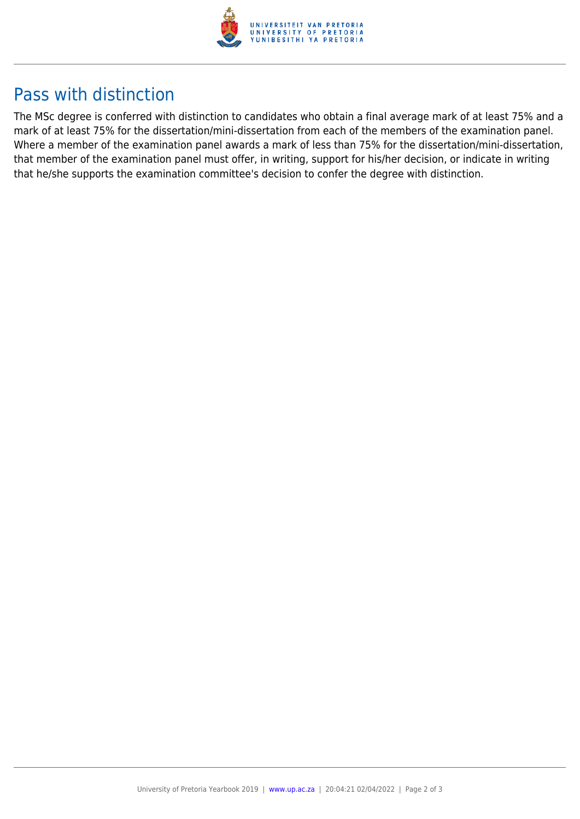

## Pass with distinction

The MSc degree is conferred with distinction to candidates who obtain a final average mark of at least 75% and a mark of at least 75% for the dissertation/mini-dissertation from each of the members of the examination panel. Where a member of the examination panel awards a mark of less than 75% for the dissertation/mini-dissertation, that member of the examination panel must offer, in writing, support for his/her decision, or indicate in writing that he/she supports the examination committee's decision to confer the degree with distinction.